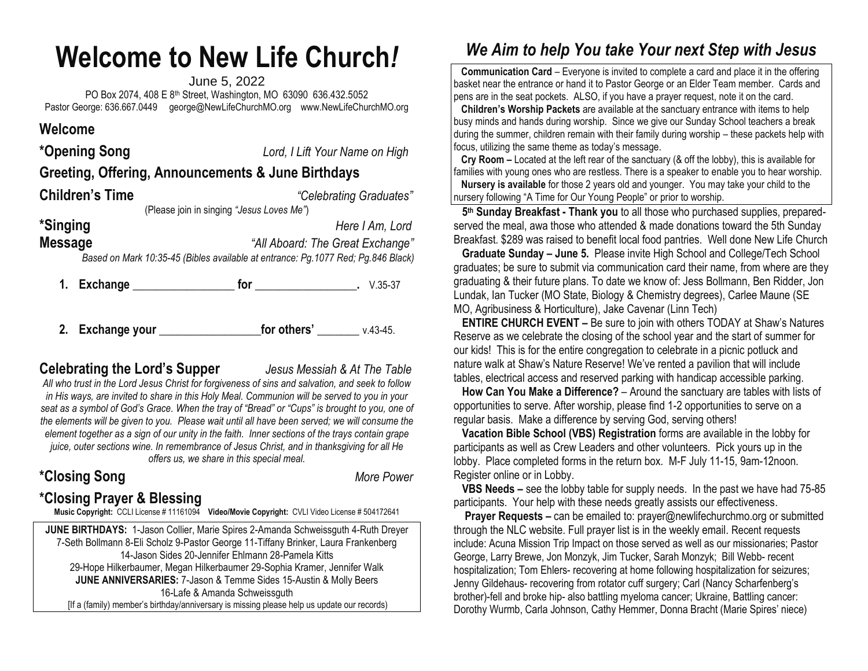# **Welcome to New Life Church***!*

June 5, 2022 PO Box 2074, 408 E 8th Street, Washington, MO 63090 636.432.5052 Pastor George: 636.667.0449 [george@NewLifeChurchMO.org](mailto:george@NewLifeChurchMO.org) [www.NewLifeChurchMO.org](http://www.newlifechurchmo.org/)

#### **Welcome**

| *Opening Song                                                                                                                          | Lord, I Lift Your Name on High |  |  |
|----------------------------------------------------------------------------------------------------------------------------------------|--------------------------------|--|--|
| Greeting, Offering, Announcements & June Birthdays                                                                                     |                                |  |  |
| <b>Children's Time</b>                                                                                                                 | "Celebrating Graduates"        |  |  |
| (Please join in singing "Jesus Loves Me")                                                                                              |                                |  |  |
| *Singing<br>Here I Am, Lord                                                                                                            |                                |  |  |
| <b>Message</b><br>"All Aboard: The Great Exchange"<br>Based on Mark 10:35-45 (Bibles available at entrance: Pg.1077 Red; Pg.846 Black) |                                |  |  |
| Exchange<br>1.                                                                                                                         | for<br>V.35-37                 |  |  |

**2. Exchange your \_\_\_\_\_\_\_\_\_\_\_\_\_\_\_\_\_for others' \_\_\_\_\_\_\_** v.43-45.

### **Celebrating the Lord's Supper** *Jesus Messiah & At The Table*

*All who trust in the Lord Jesus Christ for forgiveness of sins and salvation, and seek to follow in His ways, are invited to share in this Holy Meal. Communion will be served to you in your seat as a symbol of God's Grace. When the tray of "Bread" or "Cups" is brought to you, one of the elements will be given to you. Please wait until all have been served; we will consume the element together as a sign of our unity in the faith. Inner sections of the trays contain grape juice, outer sections wine. In remembrance of Jesus Christ, and in thanksgiving for all He offers us, we share in this special meal.*

**\*Closing Song** *More Power*

## **\*Closing Prayer & Blessing**

**Music Copyright:** CCLI License # 11161094 **Video/Movie Copyright:** CVLI Video License # 504172641

**JUNE BIRTHDAYS:** 1-Jason Collier, Marie Spires 2-Amanda Schweissguth 4-Ruth Dreyer 7-Seth Bollmann 8-Eli Scholz 9-Pastor George 11-Tiffany Brinker, Laura Frankenberg 14-Jason Sides 20-Jennifer Ehlmann 28-Pamela Kitts 29-Hope Hilkerbaumer, Megan Hilkerbaumer 29-Sophia Kramer, Jennifer Walk **JUNE ANNIVERSARIES:** 7-Jason & Temme Sides 15-Austin & Molly Beers 16-Lafe & Amanda Schweissguth [If a (family) member's birthday/anniversary is missing please help us update our records)

## *We Aim to help You take Your next Step with Jesus*

 **Communication Card** – Everyone is invited to complete a card and place it in the offering basket near the entrance or hand it to Pastor George or an Elder Team member. Cards and pens are in the seat pockets. ALSO, if you have a prayer request, note it on the card.

 **Children's Worship Packets** are available at the sanctuary entrance with items to help busy minds and hands during worship. Since we give our Sunday School teachers a break during the summer, children remain with their family during worship – these packets help with focus, utilizing the same theme as today's message.

 **Cry Room –** Located at the left rear of the sanctuary (& off the lobby), this is available for families with young ones who are restless. There is a speaker to enable you to hear worship.

 **Nursery is available** for those 2 years old and younger. You may take your child to the nursery following "A Time for Our Young People" or prior to worship.

 **5 th Sunday Breakfast - Thank you** to all those who purchased supplies, preparedserved the meal, awa those who attended & made donations toward the 5th Sunday Breakfast. \$289 was raised to benefit local food pantries. Well done New Life Church

 **Graduate Sunday – June 5.** Please invite High School and College/Tech School graduates; be sure to submit via communication card their name, from where are they graduating & their future plans. To date we know of: Jess Bollmann, Ben Ridder, Jon Lundak, Ian Tucker (MO State, Biology & Chemistry degrees), Carlee Maune (SE MO, Agribusiness & Horticulture), Jake Cavenar (Linn Tech)

**ENTIRE CHURCH EVENT –** Be sure to join with others TODAY at Shaw's Natures Reserve as we celebrate the closing of the school year and the start of summer for our kids! This is for the entire congregation to celebrate in a picnic potluck and nature walk at Shaw's Nature Reserve! We've rented a pavilion that will include tables, electrical access and reserved parking with handicap accessible parking.

 **How Can You Make a Difference?** – Around the sanctuary are tables with lists of opportunities to serve. After worship, please find 1-2 opportunities to serve on a regular basis. Make a difference by serving God, serving others!

 **Vacation Bible School (VBS) Registration** forms are available in the lobby for participants as well as Crew Leaders and other volunteers. Pick yours up in the lobby. Place completed forms in the return box. M-F July 11-15, 9am-12noon. Register online or in Lobby.

 **VBS Needs –** see the lobby table for supply needs. In the past we have had 75-85 participants. Your help with these needs greatly assists our effectiveness.

 **Prayer Requests –** can be emailed to[: prayer@newlifechurchmo.org](about:blank) or submitted through the NLC website. Full prayer list is in the weekly email. Recent requests include: Acuna Mission Trip Impact on those served as well as our missionaries; Pastor George, Larry Brewe, Jon Monzyk, Jim Tucker, Sarah Monzyk; Bill Webb- recent hospitalization; Tom Ehlers- recovering at home following hospitalization for seizures; Jenny Gildehaus- recovering from rotator cuff surgery; Carl (Nancy Scharfenberg's brother)-fell and broke hip- also battling myeloma cancer; Ukraine, Battling cancer: Dorothy Wurmb, Carla Johnson, Cathy Hemmer, Donna Bracht (Marie Spires' niece)